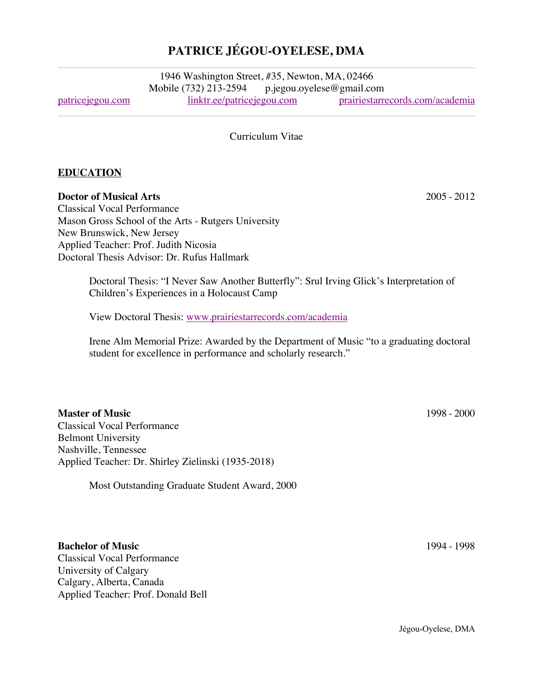## **PATRICE JÉGOU-OYELESE, DMA**

1946 Washington Street, #35, Newton, MA, 02466 Mobile (732) 213-2594 p.jegou.oyelese@gmail.com patricejegou.com linktr.ee/patricejegou.com prairiestarrecords.com/academia

Curriculum Vitae

#### **EDUCATION**

**Doctor of Musical Arts** 2005 - 2012

Classical Vocal Performance Mason Gross School of the Arts - Rutgers University New Brunswick, New Jersey Applied Teacher: Prof. Judith Nicosia Doctoral Thesis Advisor: Dr. Rufus Hallmark

> Doctoral Thesis: "I Never Saw Another Butterfly": Srul Irving Glick's Interpretation of Children's Experiences in a Holocaust Camp

View Doctoral Thesis: www.prairiestarrecords.com/academia

Irene Alm Memorial Prize: Awarded by the Department of Music "to a graduating doctoral student for excellence in performance and scholarly research."

**Master of Music** 1998 - 2000 Classical Vocal Performance Belmont University Nashville, Tennessee Applied Teacher: Dr. Shirley Zielinski (1935-2018)

Most Outstanding Graduate Student Award, 2000

**Bachelor of Music** 1994 - 1998 Classical Vocal Performance University of Calgary Calgary, Alberta, Canada Applied Teacher: Prof. Donald Bell

Jégou-Oyelese, DMA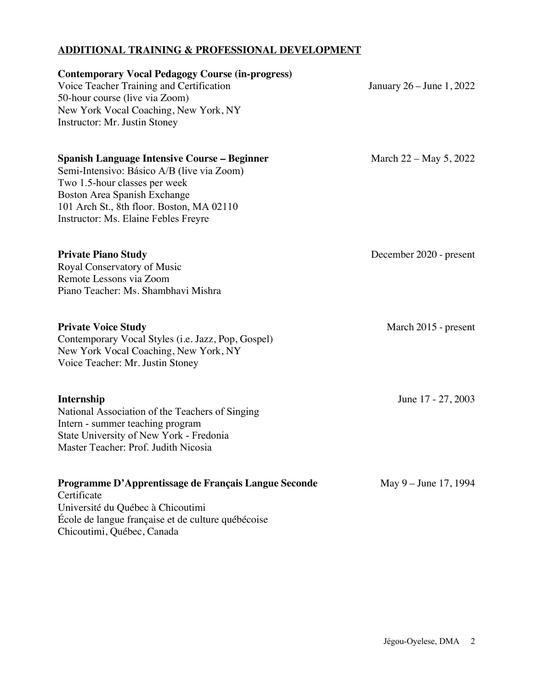## **ADDITIONAL TRAINING & PROFESSIONAL DEVELOPMENT**

| <b>Contemporary Vocal Pedagogy Course (in-progress)</b><br>Voice Teacher Training and Certification<br>50-hour course (live via Zoom)<br>New York Vocal Coaching, New York, NY<br>Instructor: Mr. Justin Stoney                                         | January 26 – June 1, 2022 |
|---------------------------------------------------------------------------------------------------------------------------------------------------------------------------------------------------------------------------------------------------------|---------------------------|
| <b>Spanish Language Intensive Course – Beginner</b><br>Semi-Intensivo: Básico A/B (live via Zoom)<br>Two 1.5-hour classes per week<br>Boston Area Spanish Exchange<br>101 Arch St., 8th floor. Boston, MA 02110<br>Instructor: Ms. Elaine Febles Freyre | March 22 – May 5, 2022    |
| <b>Private Piano Study</b><br>Royal Conservatory of Music<br>Remote Lessons via Zoom<br>Piano Teacher: Ms. Shambhavi Mishra                                                                                                                             | December 2020 - present   |
| <b>Private Voice Study</b><br>Contemporary Vocal Styles (i.e. Jazz, Pop, Gospel)<br>New York Vocal Coaching, New York, NY<br>Voice Teacher: Mr. Justin Stoney                                                                                           | March 2015 - present      |
| <b>Internship</b><br>National Association of the Teachers of Singing<br>Intern - summer teaching program<br>State University of New York - Fredonia<br>Master Teacher: Prof. Judith Nicosia                                                             | June 17 - 27, 2003        |
| Programme D'Apprentissage de Français Langue Seconde<br>Certificate<br>Université du Québec à Chicoutimi<br>École de langue française et de culture québécoise<br>Chicoutimi, Québec, Canada                                                            | May 9 – June 17, 1994     |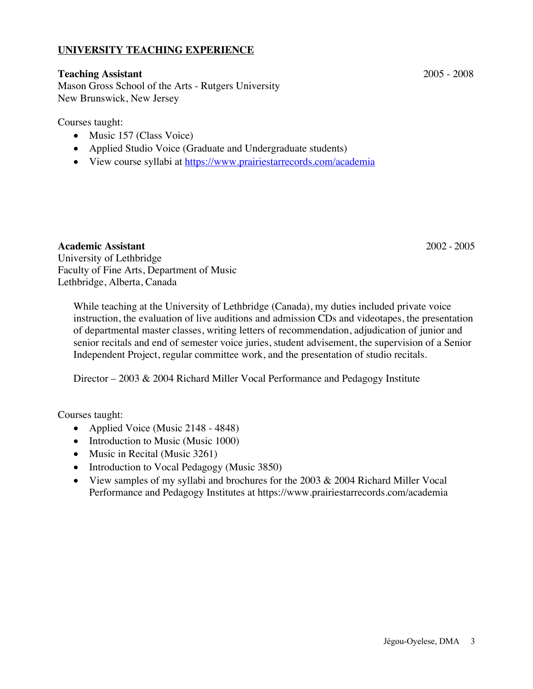### **UNIVERSITY TEACHING EXPERIENCE**

#### **Teaching Assistant** 2005 - 2008

Mason Gross School of the Arts - Rutgers University New Brunswick, New Jersey

Courses taught:

- Music 157 (Class Voice)
- Applied Studio Voice (Graduate and Undergraduate students)
- View course syllabi at https://www.prairiestarrecords.com/academia

#### **Academic Assistant** 2002 - 2005

University of Lethbridge Faculty of Fine Arts, Department of Music Lethbridge, Alberta, Canada

While teaching at the University of Lethbridge (Canada), my duties included private voice instruction, the evaluation of live auditions and admission CDs and videotapes, the presentation of departmental master classes, writing letters of recommendation, adjudication of junior and senior recitals and end of semester voice juries, student advisement, the supervision of a Senior Independent Project, regular committee work, and the presentation of studio recitals.

Director – 2003 & 2004 Richard Miller Vocal Performance and Pedagogy Institute

Courses taught:

- Applied Voice (Music 2148 4848)
- Introduction to Music (Music 1000)
- Music in Recital (Music 3261)
- Introduction to Vocal Pedagogy (Music 3850)
- View samples of my syllabi and brochures for the 2003 & 2004 Richard Miller Vocal Performance and Pedagogy Institutes at https://www.prairiestarrecords.com/academia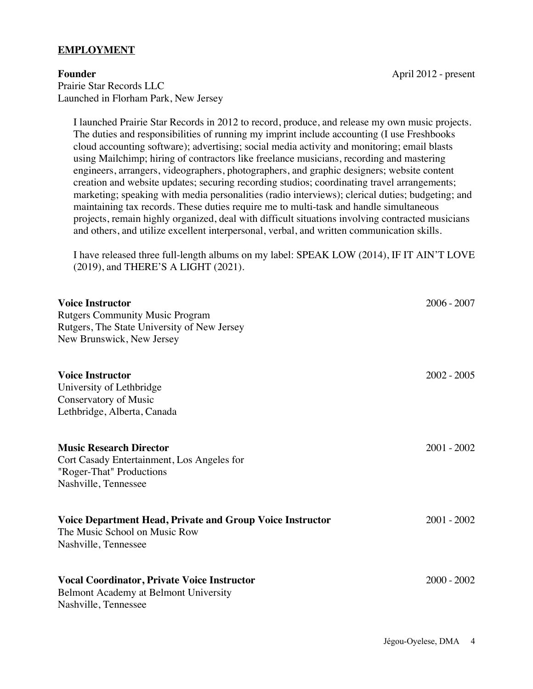#### **EMPLOYMENT**

Prairie Star Records LLC Launched in Florham Park, New Jersey

**Founder** April 2012 - present

I launched Prairie Star Records in 2012 to record, produce, and release my own music projects. The duties and responsibilities of running my imprint include accounting (I use Freshbooks cloud accounting software); advertising; social media activity and monitoring; email blasts using Mailchimp; hiring of contractors like freelance musicians, recording and mastering engineers, arrangers, videographers, photographers, and graphic designers; website content creation and website updates; securing recording studios; coordinating travel arrangements; marketing; speaking with media personalities (radio interviews); clerical duties; budgeting; and maintaining tax records. These duties require me to multi-task and handle simultaneous projects, remain highly organized, deal with difficult situations involving contracted musicians and others, and utilize excellent interpersonal, verbal, and written communication skills.

I have released three full-length albums on my label: SPEAK LOW (2014), IF IT AIN'T LOVE (2019), and THERE'S A LIGHT (2021).

| <b>Voice Instructor</b><br><b>Rutgers Community Music Program</b><br>Rutgers, The State University of New Jersey<br>New Brunswick, New Jersey | $2006 - 2007$ |
|-----------------------------------------------------------------------------------------------------------------------------------------------|---------------|
| <b>Voice Instructor</b><br>University of Lethbridge<br>Conservatory of Music<br>Lethbridge, Alberta, Canada                                   | $2002 - 2005$ |
| <b>Music Research Director</b><br>Cort Casady Entertainment, Los Angeles for<br>"Roger-That" Productions<br>Nashville, Tennessee              | $2001 - 2002$ |
| Voice Department Head, Private and Group Voice Instructor<br>The Music School on Music Row<br>Nashville, Tennessee                            | $2001 - 2002$ |
| <b>Vocal Coordinator, Private Voice Instructor</b><br>Belmont Academy at Belmont University<br>Nashville, Tennessee                           | $2000 - 2002$ |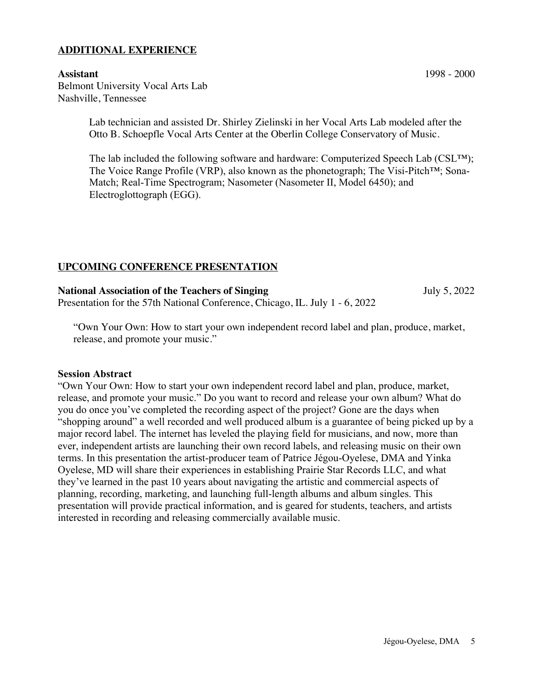#### **ADDITIONAL EXPERIENCE**

Belmont University Vocal Arts Lab Nashville, Tennessee

> Lab technician and assisted Dr. Shirley Zielinski in her Vocal Arts Lab modeled after the Otto B. Schoepfle Vocal Arts Center at the Oberlin College Conservatory of Music.

The lab included the following software and hardware: Computerized Speech Lab  $(CSL^{TM})$ ; The Voice Range Profile (VRP), also known as the phonetograph; The Visi-Pitch™; Sona-Match; Real-Time Spectrogram; Nasometer (Nasometer II, Model 6450); and Electroglottograph (EGG).

### **UPCOMING CONFERENCE PRESENTATION**

**National Association of the Teachers of Singing** July 5, 2022 Presentation for the 57th National Conference, Chicago, IL. July 1 - 6, 2022

"Own Your Own: How to start your own independent record label and plan, produce, market, release, and promote your music."

#### **Session Abstract**

"Own Your Own: How to start your own independent record label and plan, produce, market, release, and promote your music." Do you want to record and release your own album? What do you do once you've completed the recording aspect of the project? Gone are the days when "shopping around" a well recorded and well produced album is a guarantee of being picked up by a major record label. The internet has leveled the playing field for musicians, and now, more than ever, independent artists are launching their own record labels, and releasing music on their own terms. In this presentation the artist-producer team of Patrice Jégou-Oyelese, DMA and Yinka Oyelese, MD will share their experiences in establishing Prairie Star Records LLC, and what they've learned in the past 10 years about navigating the artistic and commercial aspects of planning, recording, marketing, and launching full-length albums and album singles. This presentation will provide practical information, and is geared for students, teachers, and artists interested in recording and releasing commercially available music.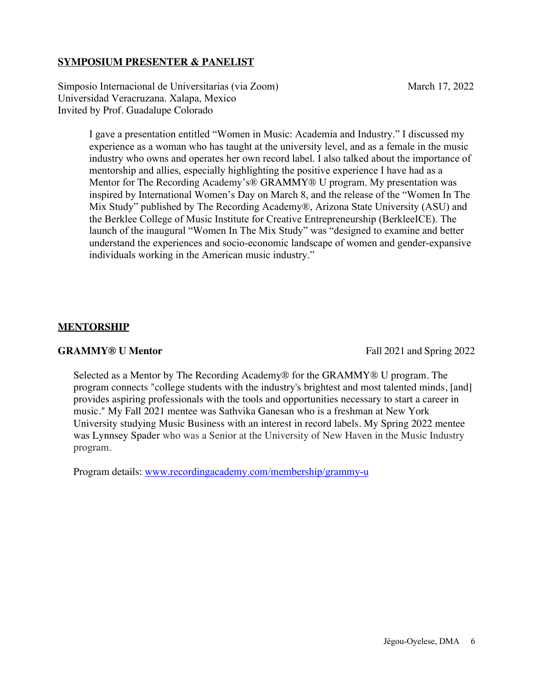### **SYMPOSIUM PRESENTER & PANELIST**

Simposio Internacional de Universitarias (via Zoom) March 17, 2022 Universidad Veracruzana. Xalapa, Mexico Invited by Prof. Guadalupe Colorado

I gave a presentation entitled "Women in Music: Academia and Industry." I discussed my experience as a woman who has taught at the university level, and as a female in the music industry who owns and operates her own record label. I also talked about the importance of mentorship and allies, especially highlighting the positive experience I have had as a Mentor for The Recording Academy's® GRAMMY® U program. My presentation was inspired by International Women's Day on March 8, and the release of the "Women In The Mix Study" published by The Recording Academy®, Arizona State University (ASU) and the Berklee College of Music Institute for Creative Entrepreneurship (BerkleeICE). The launch of the inaugural "Women In The Mix Study" was "designed to examine and better understand the experiences and socio-economic landscape of women and gender-expansive individuals working in the American music industry."

#### **MENTORSHIP**

**GRAMMY® U Mentor** Fall 2021 and Spring 2022

Selected as a Mentor by The Recording Academy® for the GRAMMY® U program. The program connects "college students with the industry's brightest and most talented minds, [and] provides aspiring professionals with the tools and opportunities necessary to start a career in music." My Fall 2021 mentee was Sathvika Ganesan who is a freshman at New York University studying Music Business with an interest in record labels. My Spring 2022 mentee was Lynnsey Spader who was a Senior at the University of New Haven in the Music Industry program.

Program details: www.recordingacademy.com/membership/grammy-u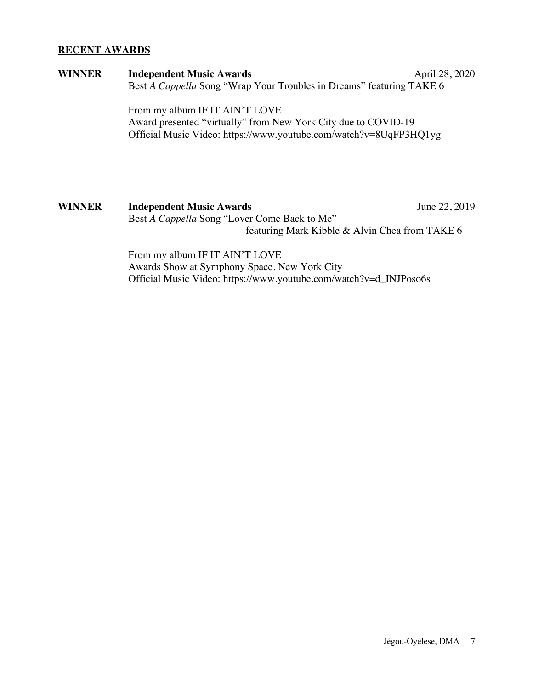#### **RECENT AWARDS**

| <b>WINNER</b> | <b>Independent Music Awards</b>                                      | April 28, 2020 |
|---------------|----------------------------------------------------------------------|----------------|
|               | Best A Cappella Song "Wrap Your Troubles in Dreams" featuring TAKE 6 |                |
|               | From my album IF IT AIN'T LOVE                                       |                |
|               | Award presented "virtually" from New York City due to COVID-19       |                |
|               | Official Music Video: https://www.youtube.com/watch?v=8UqFP3HQ1yg    |                |
|               |                                                                      |                |
|               |                                                                      |                |
|               |                                                                      |                |
|               |                                                                      |                |

**WINNER Independent Music Awards** June 22, 2019 Best *A Cappella* Song "Lover Come Back to Me" featuring Mark Kibble & Alvin Chea from TAKE 6

> From my album IF IT AIN'T LOVE Awards Show at Symphony Space, New York City Official Music Video: https://www.youtube.com/watch?v=d\_INJPoso6s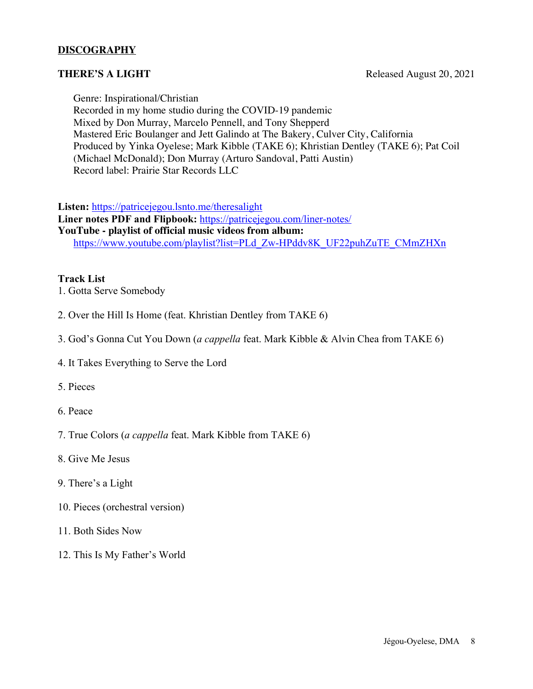### **DISCOGRAPHY**

Genre: Inspirational/Christian

Recorded in my home studio during the COVID-19 pandemic Mixed by Don Murray, Marcelo Pennell, and Tony Shepperd Mastered Eric Boulanger and Jett Galindo at The Bakery, Culver City, California Produced by Yinka Oyelese; Mark Kibble (TAKE 6); Khristian Dentley (TAKE 6); Pat Coil (Michael McDonald); Don Murray (Arturo Sandoval, Patti Austin) Record label: Prairie Star Records LLC

**Listen:** https://patricejegou.lsnto.me/theresalight

**Liner notes PDF and Flipbook:** https://patricejegou.com/liner-notes/ **YouTube - playlist of official music videos from album:** https://www.youtube.com/playlist?list=PLd\_Zw-HPddv8K\_UF22puhZuTE\_CMmZHXn

#### **Track List**

- 1. Gotta Serve Somebody
- 2. Over the Hill Is Home (feat. Khristian Dentley from TAKE 6)
- 3. God's Gonna Cut You Down (*a cappella* feat. Mark Kibble & Alvin Chea from TAKE 6)
- 4. It Takes Everything to Serve the Lord
- 5. Pieces
- 6. Peace
- 7. True Colors (*a cappella* feat. Mark Kibble from TAKE 6)
- 8. Give Me Jesus
- 9. There's a Light
- 10. Pieces (orchestral version)
- 11. Both Sides Now
- 12. This Is My Father's World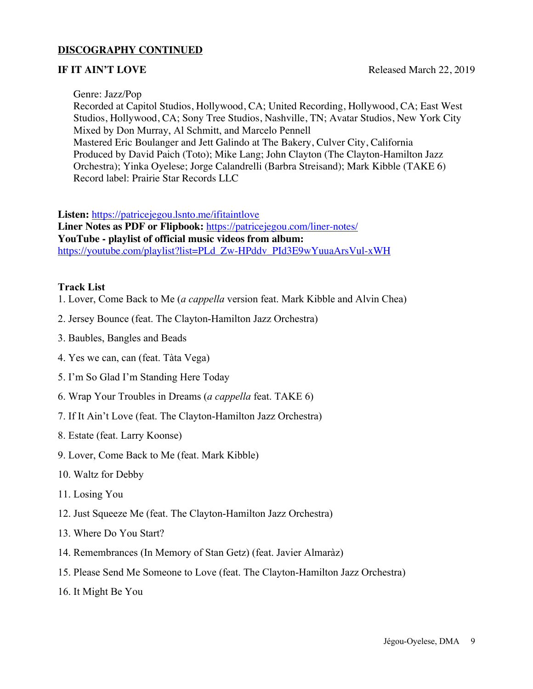#### **DISCOGRAPHY CONTINUED**

#### Genre: Jazz/Pop

Recorded at Capitol Studios, Hollywood, CA; United Recording, Hollywood, CA; East West Studios, Hollywood, CA; Sony Tree Studios, Nashville, TN; Avatar Studios, New York City Mixed by Don Murray, Al Schmitt, and Marcelo Pennell Mastered Eric Boulanger and Jett Galindo at The Bakery, Culver City, California Produced by David Paich (Toto); Mike Lang; John Clayton (The Clayton-Hamilton Jazz Orchestra); Yinka Oyelese; Jorge Calandrelli (Barbra Streisand); Mark Kibble (TAKE 6) Record label: Prairie Star Records LLC

**Listen:** https://patricejegou.lsnto.me/ifitaintlove

**Liner Notes as PDF or Flipbook:** https://patricejegou.com/liner-notes/ **YouTube - playlist of official music videos from album:** https://youtube.com/playlist?list=PLd\_Zw-HPddv\_PId3E9wYuuaArsVul-xWH

#### **Track List**

- 1. Lover, Come Back to Me (*a cappella* version feat. Mark Kibble and Alvin Chea)
- 2. Jersey Bounce (feat. The Clayton-Hamilton Jazz Orchestra)
- 3. Baubles, Bangles and Beads
- 4. Yes we can, can (feat. Tàta Vega)
- 5. I'm So Glad I'm Standing Here Today
- 6. Wrap Your Troubles in Dreams (*a cappella* feat. TAKE 6)
- 7. If It Ain't Love (feat. The Clayton-Hamilton Jazz Orchestra)
- 8. Estate (feat. Larry Koonse)
- 9. Lover, Come Back to Me (feat. Mark Kibble)
- 10. Waltz for Debby
- 11. Losing You
- 12. Just Squeeze Me (feat. The Clayton-Hamilton Jazz Orchestra)
- 13. Where Do You Start?
- 14. Remembrances (In Memory of Stan Getz) (feat. Javier Almaràz)
- 15. Please Send Me Someone to Love (feat. The Clayton-Hamilton Jazz Orchestra)
- 16. It Might Be You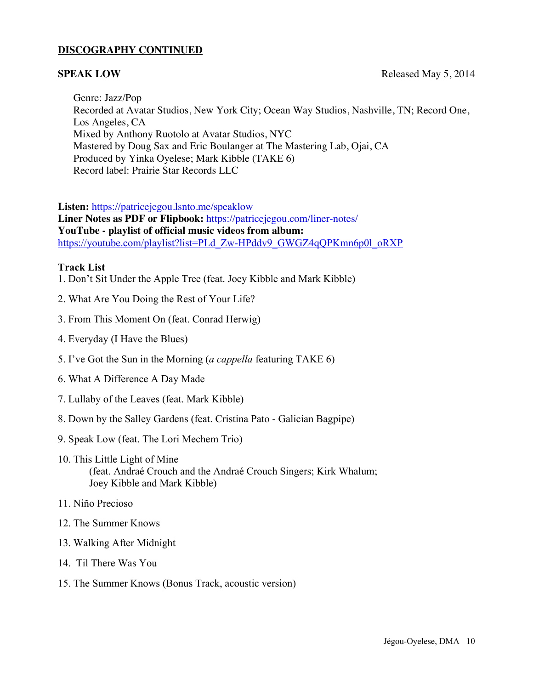#### **DISCOGRAPHY CONTINUED**

**SPEAK LOW** Released May 5, 2014

Genre: Jazz/Pop Recorded at Avatar Studios, New York City; Ocean Way Studios, Nashville, TN; Record One, Los Angeles, CA Mixed by Anthony Ruotolo at Avatar Studios, NYC Mastered by Doug Sax and Eric Boulanger at The Mastering Lab, Ojai, CA Produced by Yinka Oyelese; Mark Kibble (TAKE 6) Record label: Prairie Star Records LLC

**Listen:** https://patricejegou.lsnto.me/speaklow

**Liner Notes as PDF or Flipbook:** https://patricejegou.com/liner-notes/ **YouTube - playlist of official music videos from album:** https://youtube.com/playlist?list=PLd\_Zw-HPddv9\_GWGZ4qQPKmn6p0l\_oRXP

#### **Track List**

- 1. Don't Sit Under the Apple Tree (feat. Joey Kibble and Mark Kibble)
- 2. What Are You Doing the Rest of Your Life?
- 3. From This Moment On (feat. Conrad Herwig)
- 4. Everyday (I Have the Blues)
- 5. I've Got the Sun in the Morning (*a cappella* featuring TAKE 6)
- 6. What A Difference A Day Made
- 7. Lullaby of the Leaves (feat. Mark Kibble)
- 8. Down by the Salley Gardens (feat. Cristina Pato Galician Bagpipe)
- 9. Speak Low (feat. The Lori Mechem Trio)
- 10. This Little Light of Mine (feat. Andraé Crouch and the Andraé Crouch Singers; Kirk Whalum; Joey Kibble and Mark Kibble)
- 11. Niño Precioso
- 12. The Summer Knows
- 13. Walking After Midnight
- 14. Til There Was You
- 15. The Summer Knows (Bonus Track, acoustic version)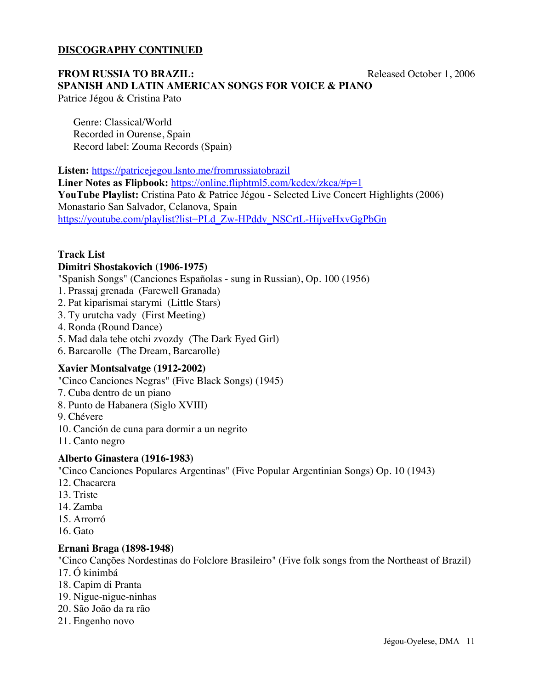#### **DISCOGRAPHY CONTINUED**

#### **FROM RUSSIA TO BRAZIL:** Released October 1, 2006 **SPANISH AND LATIN AMERICAN SONGS FOR VOICE & PIANO** Patrice Jégou & Cristina Pato

Genre: Classical/World Recorded in Ourense, Spain Record label: Zouma Records (Spain)

**Listen:** https://patricejegou.lsnto.me/fromrussiatobrazil **Liner Notes as Flipbook:** https://online.fliphtml5.com/kcdex/zkca/#p=1 **YouTube Playlist:** Cristina Pato & Patrice Jégou - Selected Live Concert Highlights (2006) Monastario San Salvador, Celanova, Spain https://youtube.com/playlist?list=PLd\_Zw-HPddv\_NSCrtL-HijveHxvGgPbGn

#### **Track List Dimitri Shostakovich (1906-1975)**

"Spanish Songs" (Canciones Españolas - sung in Russian), Op. 100 (1956)

- 1. Prassaj grenada (Farewell Granada)
- 2. Pat kiparismai starymi (Little Stars)
- 3. Ty urutcha vady (First Meeting)
- 4. Ronda (Round Dance)
- 5. Mad dala tebe otchi zvozdy (The Dark Eyed Girl)
- 6. Barcarolle (The Dream, Barcarolle)

#### **Xavier Montsalvatge (1912-2002)**

"Cinco Canciones Negras" (Five Black Songs) (1945)

- 7. Cuba dentro de un piano
- 8. Punto de Habanera (Siglo XVIII)
- 9. Chévere
- 10. Canción de cuna para dormir a un negrito
- 11. Canto negro

#### **Alberto Ginastera (1916-1983)**

"Cinco Canciones Populares Argentinas" (Five Popular Argentinian Songs) Op. 10 (1943)

- 12. Chacarera
- 13. Triste
- 14. Zamba
- 15. Arrorró
- 16. Gato

#### **Ernani Braga (1898-1948)**

"Cinco Canções Nordestinas do Folclore Brasileiro" (Five folk songs from the Northeast of Brazil) 17. Ó kinimbá

- 18. Capim di Pranta
- 19. Nigue-nigue-ninhas
- 20. São João da ra rão
- 21. Engenho novo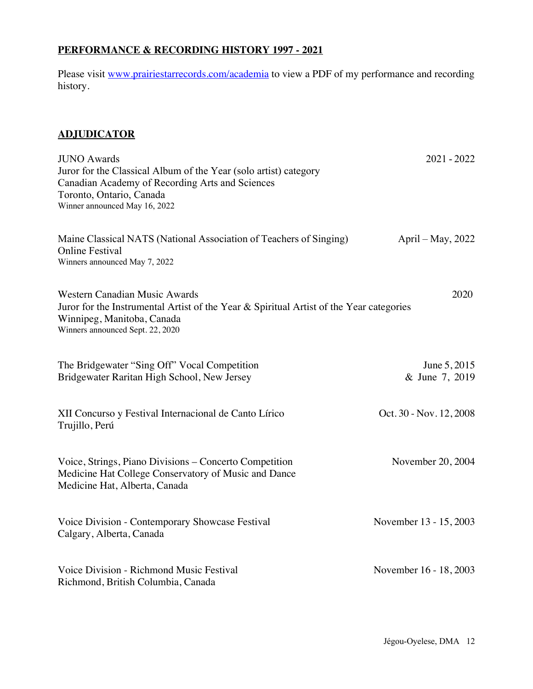## **PERFORMANCE & RECORDING HISTORY 1997 - 2021**

Please visit www.prairiestarrecords.com/academia to view a PDF of my performance and recording history.

### **ADJUDICATOR**

| <b>JUNO Awards</b><br>Juror for the Classical Album of the Year (solo artist) category<br>Canadian Academy of Recording Arts and Sciences<br>Toronto, Ontario, Canada<br>Winner announced May 16, 2022 | $2021 - 2022$                  |
|--------------------------------------------------------------------------------------------------------------------------------------------------------------------------------------------------------|--------------------------------|
| Maine Classical NATS (National Association of Teachers of Singing)<br><b>Online Festival</b><br>Winners announced May 7, 2022                                                                          | April – May, $2022$            |
| <b>Western Canadian Music Awards</b><br>Juror for the Instrumental Artist of the Year & Spiritual Artist of the Year categories<br>Winnipeg, Manitoba, Canada<br>Winners announced Sept. 22, 2020      | 2020                           |
| The Bridgewater "Sing Off" Vocal Competition<br>Bridgewater Raritan High School, New Jersey                                                                                                            | June 5, 2015<br>& June 7, 2019 |
| XII Concurso y Festival Internacional de Canto Lírico<br>Trujillo, Perú                                                                                                                                | Oct. 30 - Nov. 12, 2008        |
| Voice, Strings, Piano Divisions – Concerto Competition<br>Medicine Hat College Conservatory of Music and Dance<br>Medicine Hat, Alberta, Canada                                                        | November 20, 2004              |
| Voice Division - Contemporary Showcase Festival<br>Calgary, Alberta, Canada                                                                                                                            | November 13 - 15, 2003         |
| Voice Division - Richmond Music Festival<br>Richmond, British Columbia, Canada                                                                                                                         | November 16 - 18, 2003         |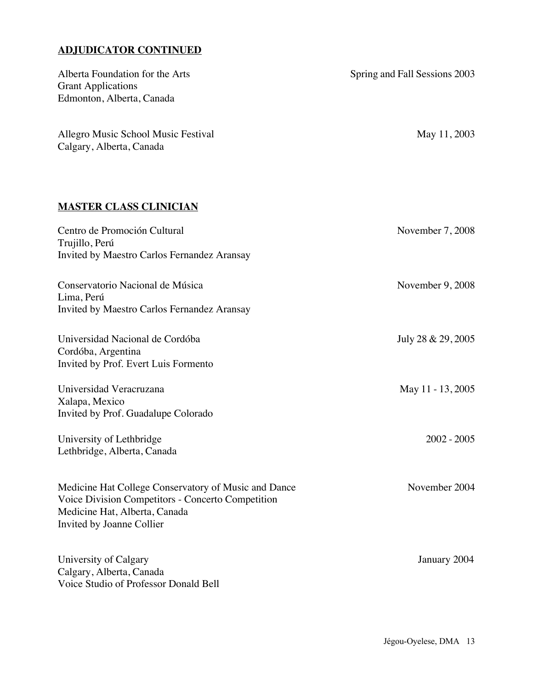## **ADJUDICATOR CONTINUED**

| Alberta Foundation for the Arts<br><b>Grant Applications</b><br>Edmonton, Alberta, Canada                                                                               | Spring and Fall Sessions 2003 |
|-------------------------------------------------------------------------------------------------------------------------------------------------------------------------|-------------------------------|
| Allegro Music School Music Festival<br>Calgary, Alberta, Canada                                                                                                         | May 11, 2003                  |
| <b>MASTER CLASS CLINICIAN</b>                                                                                                                                           |                               |
| Centro de Promoción Cultural<br>Trujillo, Perú<br>Invited by Maestro Carlos Fernandez Aransay                                                                           | November 7, 2008              |
| Conservatorio Nacional de Música<br>Lima, Perú<br>Invited by Maestro Carlos Fernandez Aransay                                                                           | November 9, 2008              |
| Universidad Nacional de Cordóba<br>Cordóba, Argentina<br>Invited by Prof. Evert Luis Formento                                                                           | July 28 & 29, 2005            |
| Universidad Veracruzana<br>Xalapa, Mexico<br>Invited by Prof. Guadalupe Colorado                                                                                        | May 11 - 13, 2005             |
| University of Lethbridge<br>Lethbridge, Alberta, Canada                                                                                                                 | $2002 - 2005$                 |
| Medicine Hat College Conservatory of Music and Dance<br>Voice Division Competitors - Concerto Competition<br>Medicine Hat, Alberta, Canada<br>Invited by Joanne Collier | November 2004                 |
| University of Calgary<br>Calgary, Alberta, Canada<br>Voice Studio of Professor Donald Bell                                                                              | January 2004                  |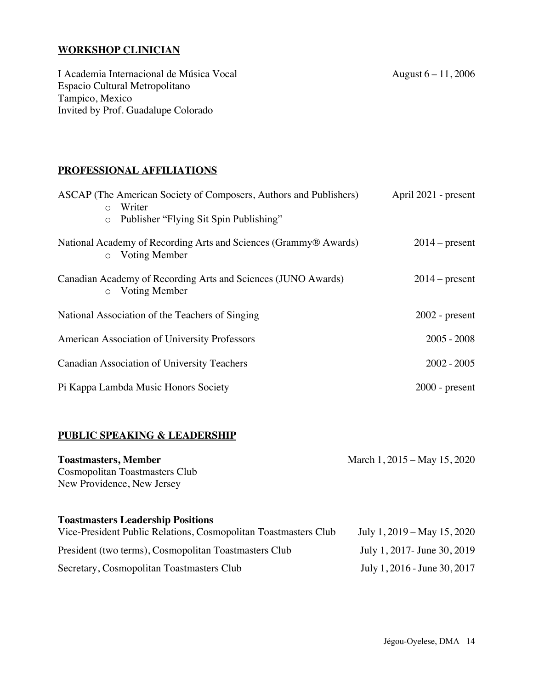## **WORKSHOP CLINICIAN**

I Academia Internacional de Música Vocal August 6-11, 2006 Espacio Cultural Metropolitano Tampico, Mexico Invited by Prof. Guadalupe Colorado

#### **PROFESSIONAL AFFILIATIONS**

| ASCAP (The American Society of Composers, Authors and Publishers)<br>Writer<br>$\circ$ | April 2021 - present |
|----------------------------------------------------------------------------------------|----------------------|
| Publisher "Flying Sit Spin Publishing"<br>$\circ$                                      |                      |
| National Academy of Recording Arts and Sciences (Grammy® Awards)<br>o Voting Member    | $2014$ – present     |
| Canadian Academy of Recording Arts and Sciences (JUNO Awards)<br>o Voting Member       | $2014$ – present     |
| National Association of the Teachers of Singing                                        | $2002$ - present     |
| American Association of University Professors                                          | $2005 - 2008$        |
| <b>Canadian Association of University Teachers</b>                                     | $2002 - 2005$        |
| Pi Kappa Lambda Music Honors Society                                                   | $2000$ - present     |

#### **PUBLIC SPEAKING & LEADERSHIP**

| <b>Toastmasters, Member</b>                                     | March 1, 2015 – May 15, 2020  |
|-----------------------------------------------------------------|-------------------------------|
| Cosmopolitan Toastmasters Club                                  |                               |
| New Providence, New Jersey                                      |                               |
|                                                                 |                               |
| <b>Toastmasters Leadership Positions</b>                        |                               |
| Vice-President Public Relations, Cosmopolitan Toastmasters Club | July 1, $2019 - May 15, 2020$ |
| President (two terms), Cosmopolitan Toastmasters Club           | July 1, 2017 - June 30, 2019  |
| Secretary, Cosmopolitan Toastmasters Club                       | July 1, 2016 - June 30, 2017  |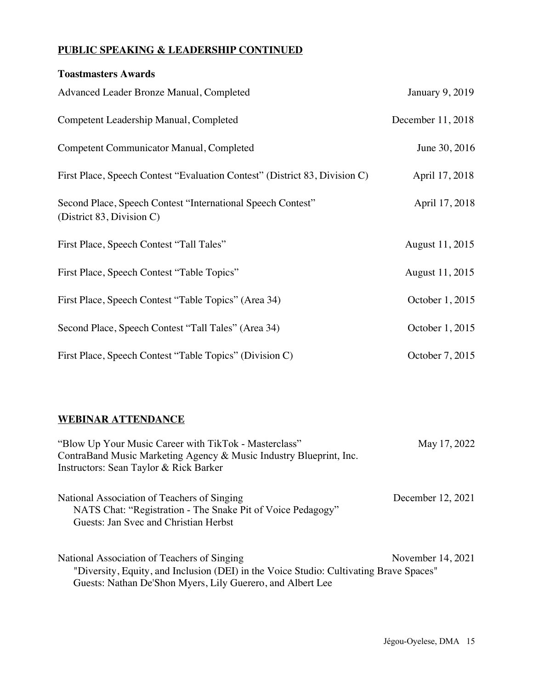## **PUBLIC SPEAKING & LEADERSHIP CONTINUED**

| <b>Toastmasters Awards</b>                                                               |                        |
|------------------------------------------------------------------------------------------|------------------------|
| Advanced Leader Bronze Manual, Completed                                                 | <b>January 9, 2019</b> |
| Competent Leadership Manual, Completed                                                   | December 11, 2018      |
| <b>Competent Communicator Manual, Completed</b>                                          | June 30, 2016          |
| First Place, Speech Contest "Evaluation Contest" (District 83, Division C)               | April 17, 2018         |
| Second Place, Speech Contest "International Speech Contest"<br>(District 83, Division C) | April 17, 2018         |
| First Place, Speech Contest "Tall Tales"                                                 | August 11, 2015        |
| First Place, Speech Contest "Table Topics"                                               | August 11, 2015        |
| First Place, Speech Contest "Table Topics" (Area 34)                                     | October 1, 2015        |
| Second Place, Speech Contest "Tall Tales" (Area 34)                                      | October 1, 2015        |
| First Place, Speech Contest "Table Topics" (Division C)                                  | October 7, 2015        |

### **WEBINAR ATTENDANCE**

| "Blow Up Your Music Career with TikTok - Masterclass"<br>ContraBand Music Marketing Agency & Music Industry Blueprint, Inc.<br>Instructors: Sean Taylor & Rick Barker                               | May 17, 2022      |
|-----------------------------------------------------------------------------------------------------------------------------------------------------------------------------------------------------|-------------------|
| National Association of Teachers of Singing<br>NATS Chat: "Registration - The Snake Pit of Voice Pedagogy"<br>Guests: Jan Svec and Christian Herbst                                                 | December 12, 2021 |
| National Association of Teachers of Singing<br>"Diversity, Equity, and Inclusion (DEI) in the Voice Studio: Cultivating Brave Spaces"<br>Guests: Nathan De'Shon Myers, Lily Guerero, and Albert Lee | November 14, 2021 |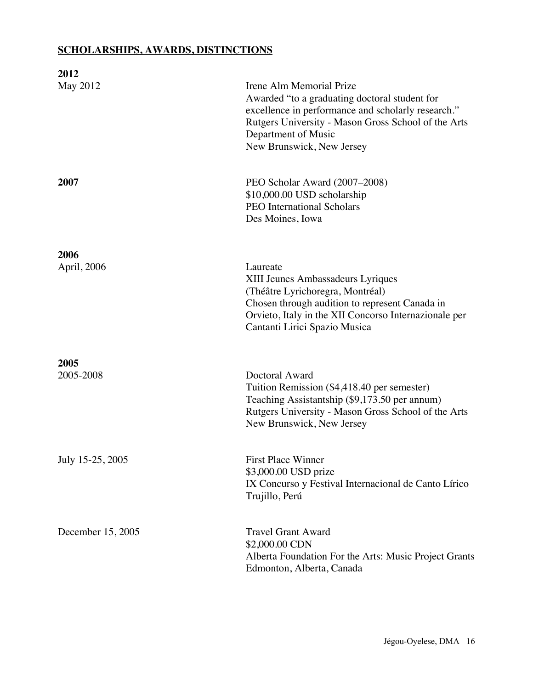## **SCHOLARSHIPS, AWARDS, DISTINCTIONS**

| 2012                |                                                                                                                                                                                                                                            |
|---------------------|--------------------------------------------------------------------------------------------------------------------------------------------------------------------------------------------------------------------------------------------|
| May 2012            | Irene Alm Memorial Prize<br>Awarded "to a graduating doctoral student for<br>excellence in performance and scholarly research."<br>Rutgers University - Mason Gross School of the Arts<br>Department of Music<br>New Brunswick, New Jersey |
| 2007                | PEO Scholar Award (2007–2008)<br>\$10,000.00 USD scholarship<br><b>PEO</b> International Scholars<br>Des Moines, Iowa                                                                                                                      |
| 2006<br>April, 2006 | Laureate<br>XIII Jeunes Ambassadeurs Lyriques<br>(Théâtre Lyrichoregra, Montréal)<br>Chosen through audition to represent Canada in<br>Orvieto, Italy in the XII Concorso Internazionale per<br>Cantanti Lirici Spazio Musica              |
| 2005<br>2005-2008   | Doctoral Award<br>Tuition Remission (\$4,418.40 per semester)<br>Teaching Assistantship (\$9,173.50 per annum)<br>Rutgers University - Mason Gross School of the Arts<br>New Brunswick, New Jersey                                         |
| July 15-25, 2005    | <b>First Place Winner</b><br>\$3,000.00 USD prize<br>IX Concurso y Festival Internacional de Canto Lírico<br>Trujillo, Perú                                                                                                                |
| December 15, 2005   | <b>Travel Grant Award</b><br>\$2,000.00 CDN<br>Alberta Foundation For the Arts: Music Project Grants<br>Edmonton, Alberta, Canada                                                                                                          |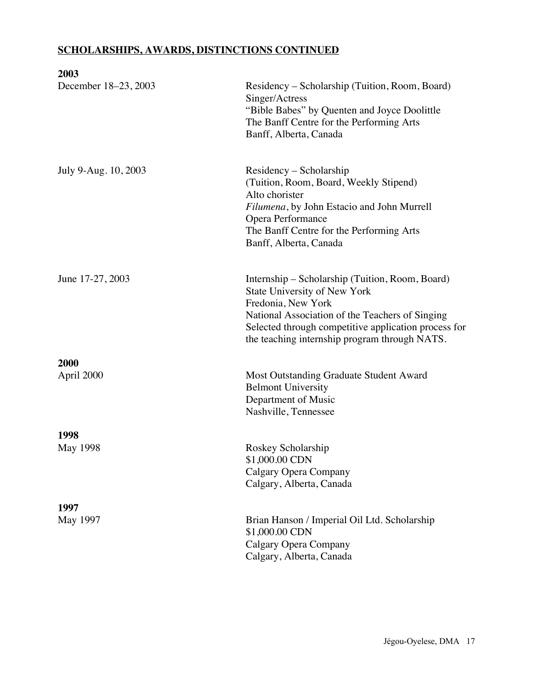## **SCHOLARSHIPS, AWARDS, DISTINCTIONS CONTINUED**

| Residency – Scholarship (Tuition, Room, Board)<br>Singer/Actress<br>"Bible Babes" by Quenten and Joyce Doolittle<br>The Banff Centre for the Performing Arts<br>Banff, Alberta, Canada                                                                            |
|-------------------------------------------------------------------------------------------------------------------------------------------------------------------------------------------------------------------------------------------------------------------|
| Residency – Scholarship<br>(Tuition, Room, Board, Weekly Stipend)<br>Alto chorister<br>Filumena, by John Estacio and John Murrell<br>Opera Performance<br>The Banff Centre for the Performing Arts<br>Banff, Alberta, Canada                                      |
| Internship – Scholarship (Tuition, Room, Board)<br>State University of New York<br>Fredonia, New York<br>National Association of the Teachers of Singing<br>Selected through competitive application process for<br>the teaching internship program through NATS. |
|                                                                                                                                                                                                                                                                   |
| Most Outstanding Graduate Student Award<br><b>Belmont University</b><br>Department of Music<br>Nashville, Tennessee                                                                                                                                               |
|                                                                                                                                                                                                                                                                   |
| Roskey Scholarship<br>\$1,000.00 CDN<br>Calgary Opera Company<br>Calgary, Alberta, Canada                                                                                                                                                                         |
|                                                                                                                                                                                                                                                                   |
| Brian Hanson / Imperial Oil Ltd. Scholarship<br>\$1,000.00 CDN<br>Calgary Opera Company<br>Calgary, Alberta, Canada                                                                                                                                               |
|                                                                                                                                                                                                                                                                   |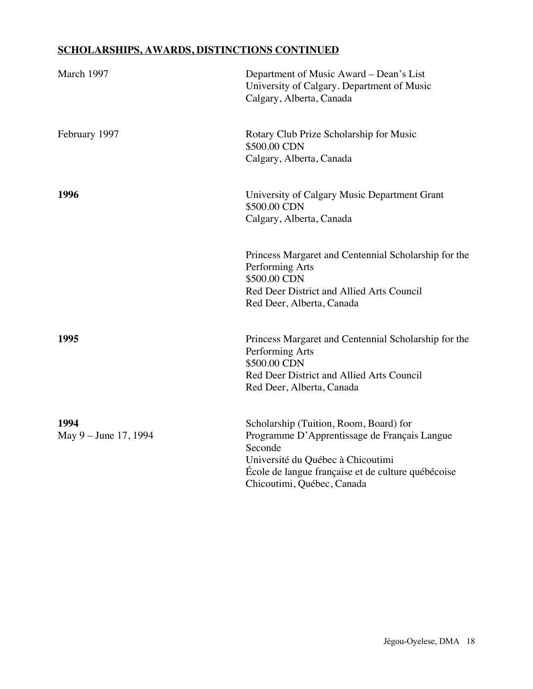## **SCHOLARSHIPS, AWARDS, DISTINCTIONS CONTINUED**

| March 1997                    | Department of Music Award – Dean's List<br>University of Calgary. Department of Music<br>Calgary, Alberta, Canada                                                                                                          |
|-------------------------------|----------------------------------------------------------------------------------------------------------------------------------------------------------------------------------------------------------------------------|
| February 1997                 | Rotary Club Prize Scholarship for Music<br>\$500.00 CDN<br>Calgary, Alberta, Canada                                                                                                                                        |
| 1996                          | University of Calgary Music Department Grant<br>\$500.00 CDN<br>Calgary, Alberta, Canada                                                                                                                                   |
|                               | Princess Margaret and Centennial Scholarship for the<br>Performing Arts<br>\$500.00 CDN<br>Red Deer District and Allied Arts Council<br>Red Deer, Alberta, Canada                                                          |
| 1995                          | Princess Margaret and Centennial Scholarship for the<br>Performing Arts<br>\$500.00 CDN<br>Red Deer District and Allied Arts Council<br>Red Deer, Alberta, Canada                                                          |
| 1994<br>May 9 – June 17, 1994 | Scholarship (Tuition, Room, Board) for<br>Programme D'Apprentissage de Français Langue<br>Seconde<br>Université du Québec à Chicoutimi<br>École de langue française et de culture québécoise<br>Chicoutimi, Québec, Canada |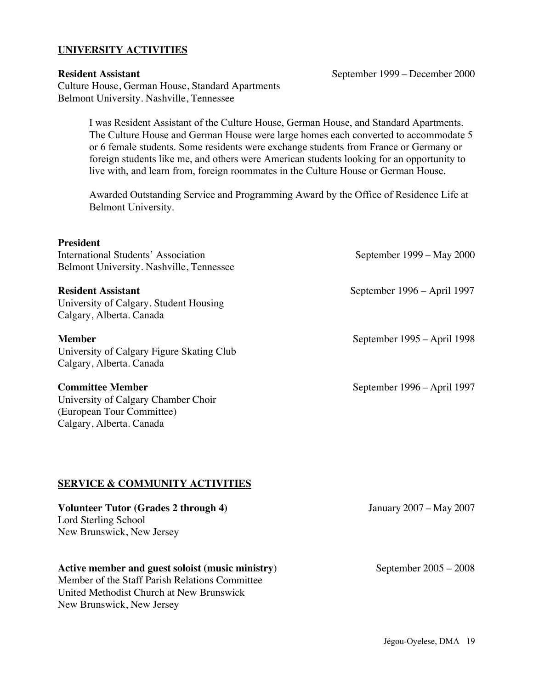#### **UNIVERSITY ACTIVITIES**

**Resident Assistant** September 1999 – December 2000 Culture House, German House, Standard Apartments Belmont University. Nashville, Tennessee

I was Resident Assistant of the Culture House, German House, and Standard Apartments. The Culture House and German House were large homes each converted to accommodate 5 or 6 female students. Some residents were exchange students from France or Germany or foreign students like me, and others were American students looking for an opportunity to live with, and learn from, foreign roommates in the Culture House or German House.

Awarded Outstanding Service and Programming Award by the Office of Residence Life at Belmont University.

# **President** International Students' Association September 1999 – May 2000 Belmont University. Nashville, Tennessee **Resident Assistant** September 1996 – April 1997 University of Calgary. Student Housing Calgary, Alberta. Canada **Member** September 1995 – April 1998 University of Calgary Figure Skating Club Calgary, Alberta. Canada **Committee Member** September 1996 – April 1997 University of Calgary Chamber Choir (European Tour Committee) Calgary, Alberta. Canada **SERVICE & COMMUNITY ACTIVITIES Volunteer Tutor (Grades 2 through 4)** January 2007 – May 2007 Lord Sterling School New Brunswick, New Jersey

#### Active member and guest soloist (music ministry) September 2005 – 2008

Member of the Staff Parish Relations Committee United Methodist Church at New Brunswick New Brunswick, New Jersey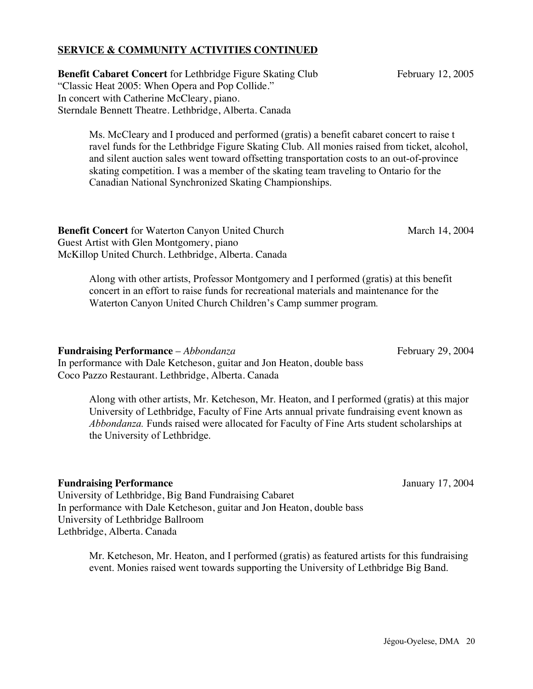### **SERVICE & COMMUNITY ACTIVITIES CONTINUED**

**Benefit Cabaret Concert** for Lethbridge Figure Skating Club February 12, 2005 "Classic Heat 2005: When Opera and Pop Collide." In concert with Catherine McCleary, piano. Sterndale Bennett Theatre. Lethbridge, Alberta. Canada

Ms. McCleary and I produced and performed (gratis) a benefit cabaret concert to raise t ravel funds for the Lethbridge Figure Skating Club. All monies raised from ticket, alcohol, and silent auction sales went toward offsetting transportation costs to an out-of-province skating competition. I was a member of the skating team traveling to Ontario for the Canadian National Synchronized Skating Championships.

**Benefit Concert** for Waterton Canyon United Church March 2004 March 14, 2004 Guest Artist with Glen Montgomery, piano McKillop United Church. Lethbridge, Alberta. Canada

Along with other artists, Professor Montgomery and I performed (gratis) at this benefit concert in an effort to raise funds for recreational materials and maintenance for the Waterton Canyon United Church Children's Camp summer program*.*

**Fundraising Performance** – *Abbondanza* **February 29, 2004** 

In performance with Dale Ketcheson, guitar and Jon Heaton, double bass Coco Pazzo Restaurant. Lethbridge, Alberta. Canada

> Along with other artists, Mr. Ketcheson, Mr. Heaton, and I performed (gratis) at this major University of Lethbridge, Faculty of Fine Arts annual private fundraising event known as *Abbondanza.* Funds raised were allocated for Faculty of Fine Arts student scholarships at the University of Lethbridge.

#### **Fundraising Performance** January 17, 2004

University of Lethbridge, Big Band Fundraising Cabaret In performance with Dale Ketcheson, guitar and Jon Heaton, double bass University of Lethbridge Ballroom Lethbridge, Alberta. Canada

> Mr. Ketcheson, Mr. Heaton, and I performed (gratis) as featured artists for this fundraising event. Monies raised went towards supporting the University of Lethbridge Big Band.